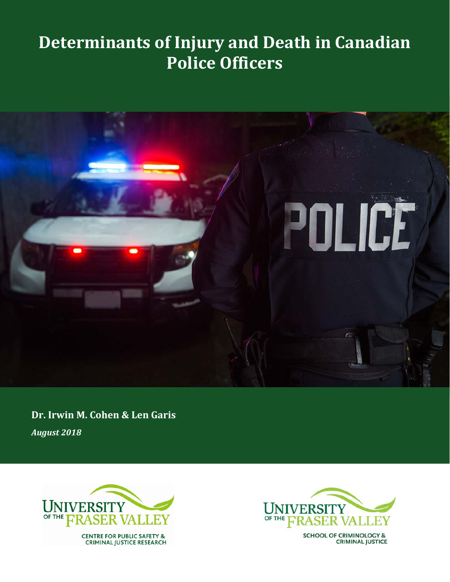# **Determinants of Injury and Death in Canadian Police Officers**



**Dr. Irwin M. Cohen & Len Garis** *August 2018*





**SCHOOL OF CRIMINOLOGY & CRIMINAL JUSTICE**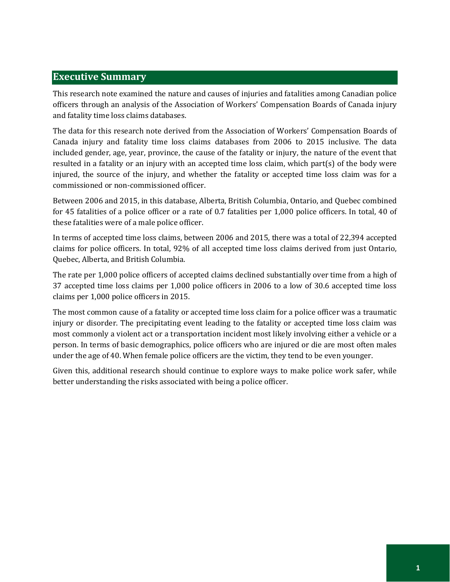# **Executive Summary**

This research note examined the nature and causes of injuries and fatalities among Canadian police officers through an analysis of the Association of Workers' Compensation Boards of Canada injury and fatality time loss claims databases.

The data for this research note derived from the Association of Workers' Compensation Boards of Canada injury and fatality time loss claims databases from 2006 to 2015 inclusive. The data included gender, age, year, province, the cause of the fatality or injury, the nature of the event that resulted in a fatality or an injury with an accepted time loss claim, which part(s) of the body were injured, the source of the injury, and whether the fatality or accepted time loss claim was for a commissioned or non-commissioned officer.

Between 2006 and 2015, in this database, Alberta, British Columbia, Ontario, and Quebec combined for 45 fatalities of a police officer or a rate of 0.7 fatalities per 1,000 police officers. In total, 40 of these fatalities were of a male police officer.

In terms of accepted time loss claims, between 2006 and 2015, there was a total of 22,394 accepted claims for police officers. In total, 92% of all accepted time loss claims derived from just Ontario, Quebec, Alberta, and British Columbia.

The rate per 1,000 police officers of accepted claims declined substantially over time from a high of 37 accepted time loss claims per 1,000 police officers in 2006 to a low of 30.6 accepted time loss claims per 1,000 police officers in 2015.

The most common cause of a fatality or accepted time loss claim for a police officer was a traumatic injury or disorder. The precipitating event leading to the fatality or accepted time loss claim was most commonly a violent act or a transportation incident most likely involving either a vehicle or a person. In terms of basic demographics, police officers who are injured or die are most often males under the age of 40. When female police officers are the victim, they tend to be even younger.

Given this, additional research should continue to explore ways to make police work safer, while better understanding the risks associated with being a police officer.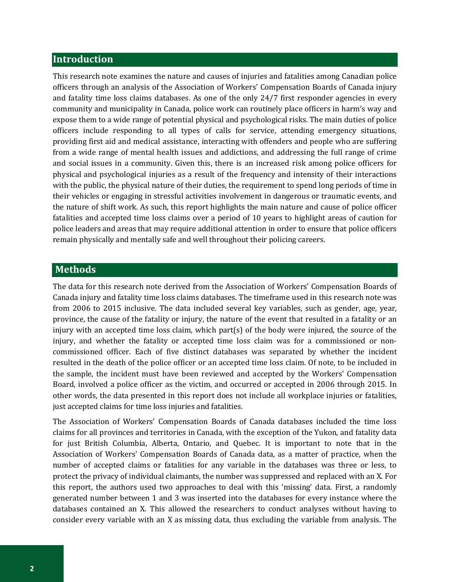## **Introduction**

This research note examines the nature and causes of injuries and fatalities among Canadian police officers through an analysis of the Association of Workers' Compensation Boards of Canada injury and fatality time loss claims databases. As one of the only 24/7 first responder agencies in every community and municipality in Canada, police work can routinely place officers in harm's way and expose them to a wide range of potential physical and psychological risks. The main duties of police officers include responding to all types of calls for service, attending emergency situations, providing first aid and medical assistance, interacting with offenders and people who are suffering from a wide range of mental health issues and addictions, and addressing the full range of crime and social issues in a community. Given this, there is an increased risk among police officers for physical and psychological injuries as a result of the frequency and intensity of their interactions with the public, the physical nature of their duties, the requirement to spend long periods of time in their vehicles or engaging in stressful activities involvement in dangerous or traumatic events, and the nature of shift work. As such, this report highlights the main nature and cause of police officer fatalities and accepted time loss claims over a period of 10 years to highlight areas of caution for police leaders and areas that may require additional attention in order to ensure that police officers remain physically and mentally safe and well throughout their policing careers.

# **Methods**

The data for this research note derived from the Association of Workers' Compensation Boards of Canada injury and fatality time loss claims databases. The timeframe used in this research note was from 2006 to 2015 inclusive. The data included several key variables, such as gender, age, year, province, the cause of the fatality or injury, the nature of the event that resulted in a fatality or an injury with an accepted time loss claim, which part(s) of the body were injured, the source of the injury, and whether the fatality or accepted time loss claim was for a commissioned or noncommissioned officer. Each of five distinct databases was separated by whether the incident resulted in the death of the police officer or an accepted time loss claim. Of note, to be included in the sample, the incident must have been reviewed and accepted by the Workers' Compensation Board, involved a police officer as the victim, and occurred or accepted in 2006 through 2015. In other words, the data presented in this report does not include all workplace injuries or fatalities, just accepted claims for time loss injuries and fatalities.

The Association of Workers' Compensation Boards of Canada databases included the time loss claims for all provinces and territories in Canada, with the exception of the Yukon, and fatality data for just British Columbia, Alberta, Ontario, and Quebec. It is important to note that in the Association of Workers' Compensation Boards of Canada data, as a matter of practice, when the number of accepted claims or fatalities for any variable in the databases was three or less, to protect the privacy of individual claimants, the number was suppressed and replaced with an X. For this report, the authors used two approaches to deal with this 'missing' data. First, a randomly generated number between 1 and 3 was inserted into the databases for every instance where the databases contained an X. This allowed the researchers to conduct analyses without having to consider every variable with an X as missing data, thus excluding the variable from analysis. The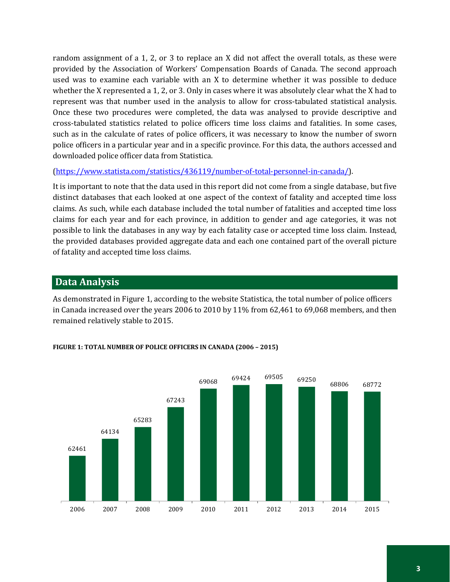random assignment of a 1, 2, or 3 to replace an X did not affect the overall totals, as these were provided by the Association of Workers' Compensation Boards of Canada. The second approach used was to examine each variable with an X to determine whether it was possible to deduce whether the X represented a 1, 2, or 3. Only in cases where it was absolutely clear what the X had to represent was that number used in the analysis to allow for cross-tabulated statistical analysis. Once these two procedures were completed, the data was analysed to provide descriptive and cross-tabulated statistics related to police officers time loss claims and fatalities. In some cases, such as in the calculate of rates of police officers, it was necessary to know the number of sworn police officers in a particular year and in a specific province. For this data, the authors accessed and downloaded police officer data from Statistica.

[\(https://www.statista.com/statistics/436119/number-of-total-personnel-in-canada/\)](https://www.statista.com/statistics/436119/number-of-total-personnel-in-canada/).

It is important to note that the data used in this report did not come from a single database, but five distinct databases that each looked at one aspect of the context of fatality and accepted time loss claims. As such, while each database included the total number of fatalities and accepted time loss claims for each year and for each province, in addition to gender and age categories, it was not possible to link the databases in any way by each fatality case or accepted time loss claim. Instead, the provided databases provided aggregate data and each one contained part of the overall picture of fatality and accepted time loss claims.

# **Data Analysis**

As demonstrated in Figure 1, according to the website Statistica, the total number of police officers in Canada increased over the years 2006 to 2010 by 11% from 62,461 to 69,068 members, and then remained relatively stable to 2015.



# **FIGURE 1: TOTAL NUMBER OF POLICE OFFICERS IN CANADA (2006 – 2015)**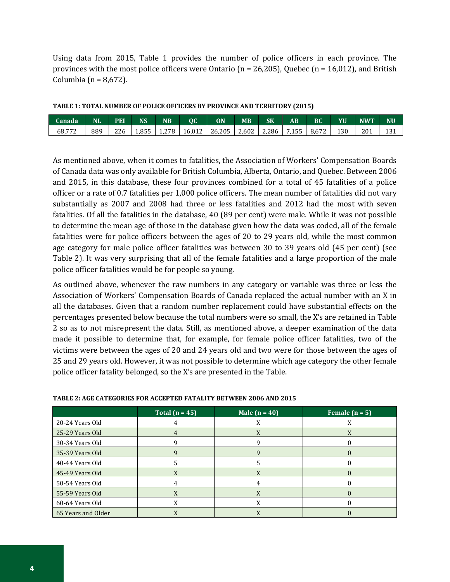Using data from 2015, Table 1 provides the number of police officers in each province. The provinces with the most police officers were Ontario ( $n = 26,205$ ), Quebec ( $n = 16,012$ ), and British Columbia ( $n = 8,672$ ).

| TABLE 1: TOTAL NUMBER OF POLICE OFFICERS BY PROVINCE AND TERRITORY (2015) |
|---------------------------------------------------------------------------|
|---------------------------------------------------------------------------|

| Canada | <b>NI</b> | PEI | <b>NS</b> | <b>NB</b> | ОC     | ON     | $\overline{\textsf{MB}}$ | <b>SK</b> | $\mathbf{A}\mathbf{B}$ | BC    | YU  | <b>NWT</b> | NU  |
|--------|-----------|-----|-----------|-----------|--------|--------|--------------------------|-----------|------------------------|-------|-----|------------|-----|
| 68,772 | 889       | 226 | 1.855     | 1.278     | 16.012 | 26.205 | 2.602                    | 2.286     | .155                   | 8.672 | 130 | 201        | 131 |

As mentioned above, when it comes to fatalities, the Association of Workers' Compensation Boards of Canada data was only available for British Columbia, Alberta, Ontario, and Quebec. Between 2006 and 2015, in this database, these four provinces combined for a total of 45 fatalities of a police officer or a rate of 0.7 fatalities per 1,000 police officers. The mean number of fatalities did not vary substantially as 2007 and 2008 had three or less fatalities and 2012 had the most with seven fatalities. Of all the fatalities in the database, 40 (89 per cent) were male. While it was not possible to determine the mean age of those in the database given how the data was coded, all of the female fatalities were for police officers between the ages of 20 to 29 years old, while the most common age category for male police officer fatalities was between 30 to 39 years old (45 per cent) (see Table 2). It was very surprising that all of the female fatalities and a large proportion of the male police officer fatalities would be for people so young.

As outlined above, whenever the raw numbers in any category or variable was three or less the Association of Workers' Compensation Boards of Canada replaced the actual number with an X in all the databases. Given that a random number replacement could have substantial effects on the percentages presented below because the total numbers were so small, the X's are retained in Table 2 so as to not misrepresent the data. Still, as mentioned above, a deeper examination of the data made it possible to determine that, for example, for female police officer fatalities, two of the victims were between the ages of 20 and 24 years old and two were for those between the ages of 25 and 29 years old. However, it was not possible to determine which age category the other female police officer fatality belonged, so the X's are presented in the Table.

|                    | Total $(n = 45)$ | Male $(n = 40)$ | Female $(n = 5)$ |
|--------------------|------------------|-----------------|------------------|
| 20-24 Years Old    |                  |                 |                  |
| 25-29 Years Old    | 4                | X               | X                |
| 30-34 Years Old    |                  |                 |                  |
| 35-39 Years Old    | q                | O               |                  |
| 40-44 Years Old    |                  | 5               |                  |
| 45-49 Years Old    |                  |                 |                  |
| 50-54 Years Old    |                  |                 |                  |
| 55-59 Years Old    | X                | X               |                  |
| 60-64 Years Old    |                  | X               |                  |
| 65 Years and Older |                  |                 |                  |

#### **TABLE 2: AGE CATEGORIES FOR ACCEPTED FATALITY BETWEEN 2006 AND 2015**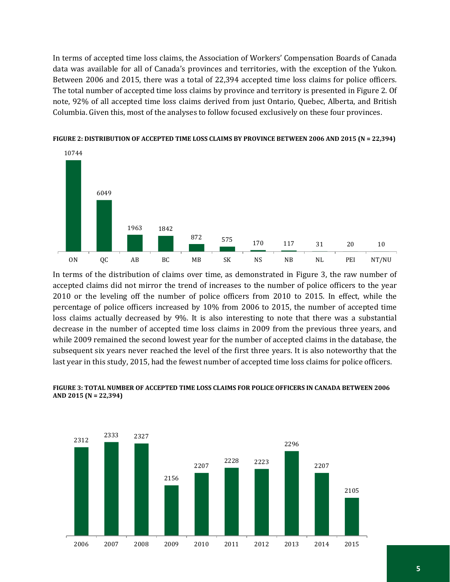In terms of accepted time loss claims, the Association of Workers' Compensation Boards of Canada data was available for all of Canada's provinces and territories, with the exception of the Yukon. Between 2006 and 2015, there was a total of 22,394 accepted time loss claims for police officers. The total number of accepted time loss claims by province and territory is presented in Figure 2. Of note, 92% of all accepted time loss claims derived from just Ontario, Quebec, Alberta, and British Columbia. Given this, most of the analyses to follow focused exclusively on these four provinces.



**FIGURE 2: DISTRIBUTION OF ACCEPTED TIME LOSS CLAIMS BY PROVINCE BETWEEN 2006 AND 2015 (N = 22,394)**

In terms of the distribution of claims over time, as demonstrated in Figure 3, the raw number of accepted claims did not mirror the trend of increases to the number of police officers to the year 2010 or the leveling off the number of police officers from 2010 to 2015. In effect, while the percentage of police officers increased by 10% from 2006 to 2015, the number of accepted time loss claims actually decreased by 9%. It is also interesting to note that there was a substantial decrease in the number of accepted time loss claims in 2009 from the previous three years, and while 2009 remained the second lowest year for the number of accepted claims in the database, the subsequent six years never reached the level of the first three years. It is also noteworthy that the last year in this study, 2015, had the fewest number of accepted time loss claims for police officers.



### **FIGURE 3: TOTAL NUMBER OF ACCEPTED TIME LOSS CLAIMS FOR POLICE OFFICERS IN CANADA BETWEEN 2006 AND 2015 (N = 22,394)**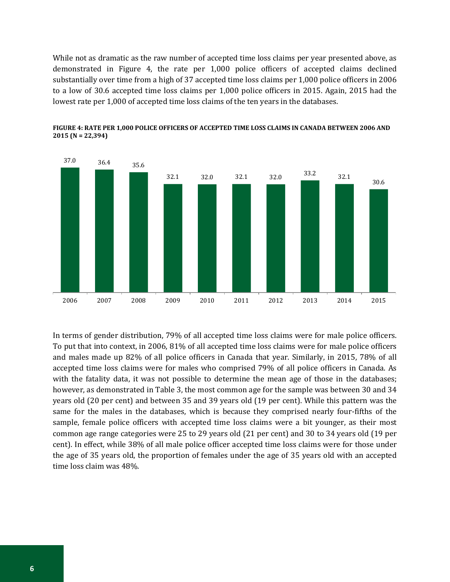While not as dramatic as the raw number of accepted time loss claims per year presented above, as demonstrated in Figure 4, the rate per 1,000 police officers of accepted claims declined substantially over time from a high of 37 accepted time loss claims per 1,000 police officers in 2006 to a low of 30.6 accepted time loss claims per 1,000 police officers in 2015. Again, 2015 had the lowest rate per 1,000 of accepted time loss claims of the ten years in the databases.



**FIGURE 4: RATE PER 1,000 POLICE OFFICERS OF ACCEPTED TIME LOSS CLAIMS IN CANADA BETWEEN 2006 AND 2015 (N = 22,394)**

In terms of gender distribution, 79% of all accepted time loss claims were for male police officers. To put that into context, in 2006, 81% of all accepted time loss claims were for male police officers and males made up 82% of all police officers in Canada that year. Similarly, in 2015, 78% of all accepted time loss claims were for males who comprised 79% of all police officers in Canada. As with the fatality data, it was not possible to determine the mean age of those in the databases; however, as demonstrated in Table 3, the most common age for the sample was between 30 and 34 years old (20 per cent) and between 35 and 39 years old (19 per cent). While this pattern was the same for the males in the databases, which is because they comprised nearly four-fifths of the sample, female police officers with accepted time loss claims were a bit younger, as their most common age range categories were 25 to 29 years old (21 per cent) and 30 to 34 years old (19 per cent). In effect, while 38% of all male police officer accepted time loss claims were for those under the age of 35 years old, the proportion of females under the age of 35 years old with an accepted time loss claim was 48%.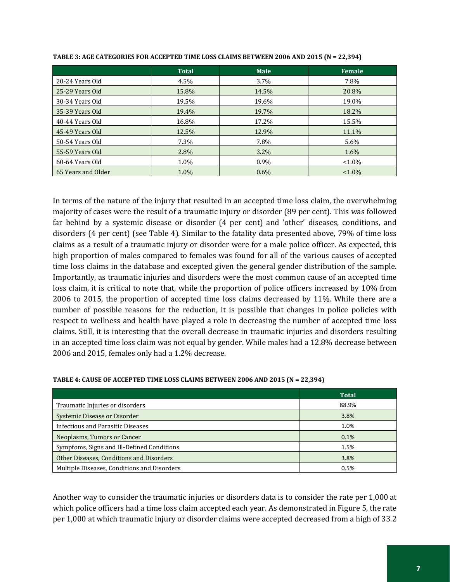|                    | <b>Total</b> | <b>Male</b> | Female    |
|--------------------|--------------|-------------|-----------|
| 20-24 Years Old    | 4.5%         | $3.7\%$     | 7.8%      |
| 25-29 Years Old    | 15.8%        | 14.5%       | 20.8%     |
| 30-34 Years Old    | 19.5%        | 19.6%       | 19.0%     |
| 35-39 Years Old    | 19.4%        | 19.7%       | 18.2%     |
| 40-44 Years Old    | 16.8%        | 17.2%       | 15.5%     |
| 45-49 Years Old    | 12.5%        | 12.9%       | 11.1%     |
| 50-54 Years Old    | 7.3%         | 7.8%        | $5.6\%$   |
| 55-59 Years Old    | 2.8%         | $3.2\%$     | 1.6%      |
| 60-64 Years Old    | 1.0%         | 0.9%        | $< 1.0\%$ |
| 65 Years and Older | 1.0%         | $0.6\%$     | $< 1.0\%$ |

**TABLE 3: AGE CATEGORIES FOR ACCEPTED TIME LOSS CLAIMS BETWEEN 2006 AND 2015 (N = 22,394)**

In terms of the nature of the injury that resulted in an accepted time loss claim, the overwhelming majority of cases were the result of a traumatic injury or disorder (89 per cent). This was followed far behind by a systemic disease or disorder (4 per cent) and 'other' diseases, conditions, and disorders (4 per cent) (see Table 4). Similar to the fatality data presented above, 79% of time loss claims as a result of a traumatic injury or disorder were for a male police officer. As expected, this high proportion of males compared to females was found for all of the various causes of accepted time loss claims in the database and excepted given the general gender distribution of the sample. Importantly, as traumatic injuries and disorders were the most common cause of an accepted time loss claim, it is critical to note that, while the proportion of police officers increased by 10% from 2006 to 2015, the proportion of accepted time loss claims decreased by 11%. While there are a number of possible reasons for the reduction, it is possible that changes in police policies with respect to wellness and health have played a role in decreasing the number of accepted time loss claims. Still, it is interesting that the overall decrease in traumatic injuries and disorders resulting in an accepted time loss claim was not equal by gender. While males had a 12.8% decrease between 2006 and 2015, females only had a 1.2% decrease.

|                                             | <b>Total</b> |
|---------------------------------------------|--------------|
| Traumatic Injuries or disorders             | 88.9%        |
| Systemic Disease or Disorder                | 3.8%         |
| Infectious and Parasitic Diseases           | 1.0%         |
| Neoplasms, Tumors or Cancer                 | 0.1%         |
| Symptoms, Signs and Ill-Defined Conditions  | 1.5%         |
| Other Diseases, Conditions and Disorders    | 3.8%         |
| Multiple Diseases, Conditions and Disorders | 0.5%         |

#### **TABLE 4: CAUSE OF ACCEPTED TIME LOSS CLAIMS BETWEEN 2006 AND 2015 (N = 22,394)**

Another way to consider the traumatic injuries or disorders data is to consider the rate per 1,000 at which police officers had a time loss claim accepted each year. As demonstrated in Figure 5, the rate per 1,000 at which traumatic injury or disorder claims were accepted decreased from a high of 33.2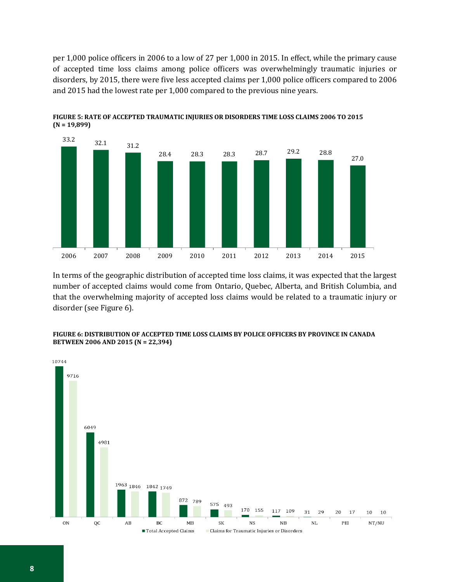per 1,000 police officers in 2006 to a low of 27 per 1,000 in 2015. In effect, while the primary cause of accepted time loss claims among police officers was overwhelmingly traumatic injuries or disorders, by 2015, there were five less accepted claims per 1,000 police officers compared to 2006 and 2015 had the lowest rate per 1,000 compared to the previous nine years.



**FIGURE 5: RATE OF ACCEPTED TRAUMATIC INJURIES OR DISORDERS TIME LOSS CLAIMS 2006 TO 2015 (N = 19,899)**

In terms of the geographic distribution of accepted time loss claims, it was expected that the largest number of accepted claims would come from Ontario, Quebec, Alberta, and British Columbia, and that the overwhelming majority of accepted loss claims would be related to a traumatic injury or disorder (see Figure 6).



#### **FIGURE 6: DISTRIBUTION OF ACCEPTED TIME LOSS CLAIMS BY POLICE OFFICERS BY PROVINCE IN CANADA BETWEEN 2006 AND 2015 (N = 22,394)**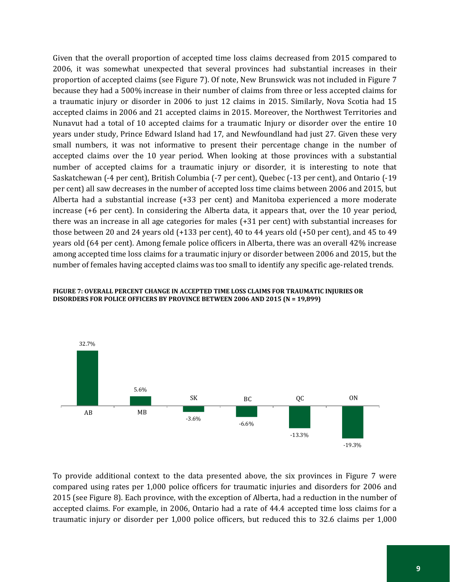Given that the overall proportion of accepted time loss claims decreased from 2015 compared to 2006, it was somewhat unexpected that several provinces had substantial increases in their proportion of accepted claims (see Figure 7). Of note, New Brunswick was not included in Figure 7 because they had a 500% increase in their number of claims from three or less accepted claims for a traumatic injury or disorder in 2006 to just 12 claims in 2015. Similarly, Nova Scotia had 15 accepted claims in 2006 and 21 accepted claims in 2015. Moreover, the Northwest Territories and Nunavut had a total of 10 accepted claims for a traumatic Injury or disorder over the entire 10 years under study, Prince Edward Island had 17, and Newfoundland had just 27. Given these very small numbers, it was not informative to present their percentage change in the number of accepted claims over the 10 year period. When looking at those provinces with a substantial number of accepted claims for a traumatic injury or disorder, it is interesting to note that Saskatchewan (-4 per cent), British Columbia (-7 per cent), Quebec (-13 per cent), and Ontario (-19 per cent) all saw decreases in the number of accepted loss time claims between 2006 and 2015, but Alberta had a substantial increase (+33 per cent) and Manitoba experienced a more moderate increase (+6 per cent). In considering the Alberta data, it appears that, over the 10 year period, there was an increase in all age categories for males (+31 per cent) with substantial increases for those between 20 and 24 years old (+133 per cent), 40 to 44 years old (+50 per cent), and 45 to 49 years old (64 per cent). Among female police officers in Alberta, there was an overall 42% increase among accepted time loss claims for a traumatic injury or disorder between 2006 and 2015, but the number of females having accepted claims was too small to identify any specific age-related trends.



#### **FIGURE 7: OVERALL PERCENT CHANGE IN ACCEPTED TIME LOSS CLAIMS FOR TRAUMATIC INJURIES OR DISORDERS FOR POLICE OFFICERS BY PROVINCE BETWEEN 2006 AND 2015 (N = 19,899)**

To provide additional context to the data presented above, the six provinces in Figure 7 were compared using rates per 1,000 police officers for traumatic injuries and disorders for 2006 and 2015 (see Figure 8). Each province, with the exception of Alberta, had a reduction in the number of accepted claims. For example, in 2006, Ontario had a rate of 44.4 accepted time loss claims for a traumatic injury or disorder per 1,000 police officers, but reduced this to 32.6 claims per 1,000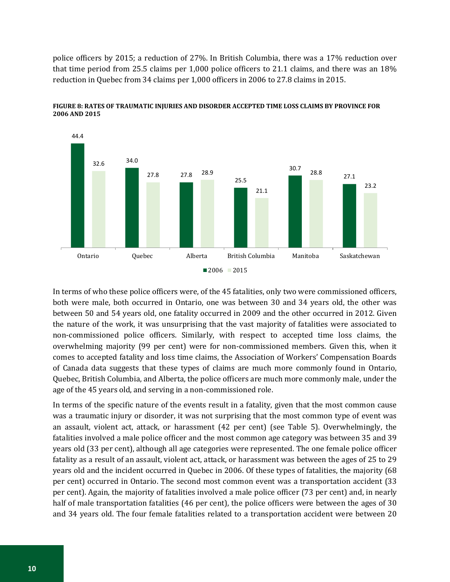police officers by 2015; a reduction of 27%. In British Columbia, there was a 17% reduction over that time period from 25.5 claims per 1,000 police officers to 21.1 claims, and there was an 18% reduction in Quebec from 34 claims per 1,000 officers in 2006 to 27.8 claims in 2015.



**FIGURE 8: RATES OF TRAUMATIC INJURIES AND DISORDER ACCEPTED TIME LOSS CLAIMS BY PROVINCE FOR 2006 AND 2015**

In terms of who these police officers were, of the 45 fatalities, only two were commissioned officers, both were male, both occurred in Ontario, one was between 30 and 34 years old, the other was between 50 and 54 years old, one fatality occurred in 2009 and the other occurred in 2012. Given the nature of the work, it was unsurprising that the vast majority of fatalities were associated to non-commissioned police officers. Similarly, with respect to accepted time loss claims, the overwhelming majority (99 per cent) were for non-commissioned members. Given this, when it comes to accepted fatality and loss time claims, the Association of Workers' Compensation Boards of Canada data suggests that these types of claims are much more commonly found in Ontario, Quebec, British Columbia, and Alberta, the police officers are much more commonly male, under the age of the 45 years old, and serving in a non-commissioned role.

In terms of the specific nature of the events result in a fatality, given that the most common cause was a traumatic injury or disorder, it was not surprising that the most common type of event was an assault, violent act, attack, or harassment (42 per cent) (see Table 5). Overwhelmingly, the fatalities involved a male police officer and the most common age category was between 35 and 39 years old (33 per cent), although all age categories were represented. The one female police officer fatality as a result of an assault, violent act, attack, or harassment was between the ages of 25 to 29 years old and the incident occurred in Quebec in 2006. Of these types of fatalities, the majority (68 per cent) occurred in Ontario. The second most common event was a transportation accident (33 per cent). Again, the majority of fatalities involved a male police officer (73 per cent) and, in nearly half of male transportation fatalities (46 per cent), the police officers were between the ages of 30 and 34 years old. The four female fatalities related to a transportation accident were between 20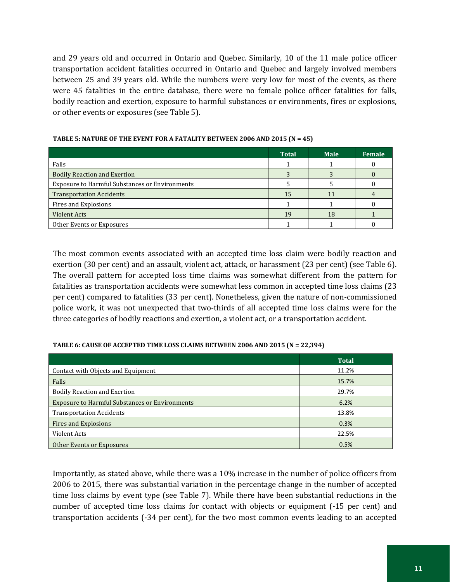and 29 years old and occurred in Ontario and Quebec. Similarly, 10 of the 11 male police officer transportation accident fatalities occurred in Ontario and Quebec and largely involved members between 25 and 39 years old. While the numbers were very low for most of the events, as there were 45 fatalities in the entire database, there were no female police officer fatalities for falls, bodily reaction and exertion, exposure to harmful substances or environments, fires or explosions, or other events or exposures (see Table 5).

|                                                       | <b>Total</b> | <b>Male</b> | Female |
|-------------------------------------------------------|--------------|-------------|--------|
| Falls                                                 |              |             |        |
| <b>Bodily Reaction and Exertion</b>                   |              |             |        |
| <b>Exposure to Harmful Substances or Environments</b> |              |             |        |
| <b>Transportation Accidents</b>                       | 15           |             |        |
| Fires and Explosions                                  |              |             |        |
| <b>Violent Acts</b>                                   | 19           | 18          |        |
| Other Events or Exposures                             |              |             |        |

#### **TABLE 5: NATURE OF THE EVENT FOR A FATALITY BETWEEN 2006 AND 2015 (N = 45)**

The most common events associated with an accepted time loss claim were bodily reaction and exertion (30 per cent) and an assault, violent act, attack, or harassment (23 per cent) (see Table 6). The overall pattern for accepted loss time claims was somewhat different from the pattern for fatalities as transportation accidents were somewhat less common in accepted time loss claims (23 per cent) compared to fatalities (33 per cent). Nonetheless, given the nature of non-commissioned police work, it was not unexpected that two-thirds of all accepted time loss claims were for the three categories of bodily reactions and exertion, a violent act, or a transportation accident.

#### **TABLE 6: CAUSE OF ACCEPTED TIME LOSS CLAIMS BETWEEN 2006 AND 2015 (N = 22,394)**

|                                                       | <b>Total</b> |
|-------------------------------------------------------|--------------|
| Contact with Objects and Equipment                    | 11.2%        |
| Falls                                                 | 15.7%        |
| <b>Bodily Reaction and Exertion</b>                   | 29.7%        |
| <b>Exposure to Harmful Substances or Environments</b> | 6.2%         |
| <b>Transportation Accidents</b>                       | 13.8%        |
| Fires and Explosions                                  | 0.3%         |
| Violent Acts                                          | 22.5%        |
| Other Events or Exposures                             | 0.5%         |

Importantly, as stated above, while there was a 10% increase in the number of police officers from 2006 to 2015, there was substantial variation in the percentage change in the number of accepted time loss claims by event type (see Table 7). While there have been substantial reductions in the number of accepted time loss claims for contact with objects or equipment (-15 per cent) and transportation accidents (-34 per cent), for the two most common events leading to an accepted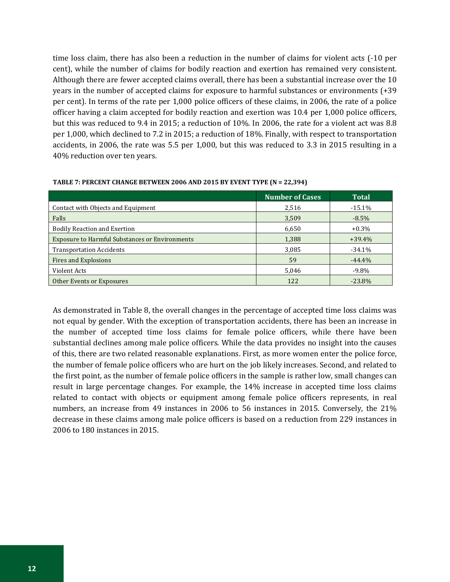time loss claim, there has also been a reduction in the number of claims for violent acts (-10 per cent), while the number of claims for bodily reaction and exertion has remained very consistent. Although there are fewer accepted claims overall, there has been a substantial increase over the 10 years in the number of accepted claims for exposure to harmful substances or environments (+39 per cent). In terms of the rate per 1,000 police officers of these claims, in 2006, the rate of a police officer having a claim accepted for bodily reaction and exertion was 10.4 per 1,000 police officers, but this was reduced to 9.4 in 2015; a reduction of 10%. In 2006, the rate for a violent act was 8.8 per 1,000, which declined to 7.2 in 2015; a reduction of 18%. Finally, with respect to transportation accidents, in 2006, the rate was 5.5 per 1,000, but this was reduced to 3.3 in 2015 resulting in a 40% reduction over ten years.

|                                                       | <b>Number of Cases</b> | <b>Total</b> |
|-------------------------------------------------------|------------------------|--------------|
| Contact with Objects and Equipment                    | 2,516                  | $-15.1%$     |
| Falls                                                 | 3,509                  | $-8.5\%$     |
| <b>Bodily Reaction and Exertion</b>                   | 6,650                  | $+0.3\%$     |
| <b>Exposure to Harmful Substances or Environments</b> | 1,388                  | $+39.4%$     |
| <b>Transportation Accidents</b>                       | 3,085                  | $-34.1%$     |
| Fires and Explosions                                  | 59                     | $-44.4%$     |
| Violent Acts                                          | 5,046                  | $-9.8\%$     |
| Other Events or Exposures                             | 122                    | $-23.8%$     |

#### **TABLE 7: PERCENT CHANGE BETWEEN 2006 AND 2015 BY EVENT TYPE (N = 22,394)**

As demonstrated in Table 8, the overall changes in the percentage of accepted time loss claims was not equal by gender. With the exception of transportation accidents, there has been an increase in the number of accepted time loss claims for female police officers, while there have been substantial declines among male police officers. While the data provides no insight into the causes of this, there are two related reasonable explanations. First, as more women enter the police force, the number of female police officers who are hurt on the job likely increases. Second, and related to the first point, as the number of female police officers in the sample is rather low, small changes can result in large percentage changes. For example, the 14% increase in accepted time loss claims related to contact with objects or equipment among female police officers represents, in real numbers, an increase from 49 instances in 2006 to 56 instances in 2015. Conversely, the 21% decrease in these claims among male police officers is based on a reduction from 229 instances in 2006 to 180 instances in 2015.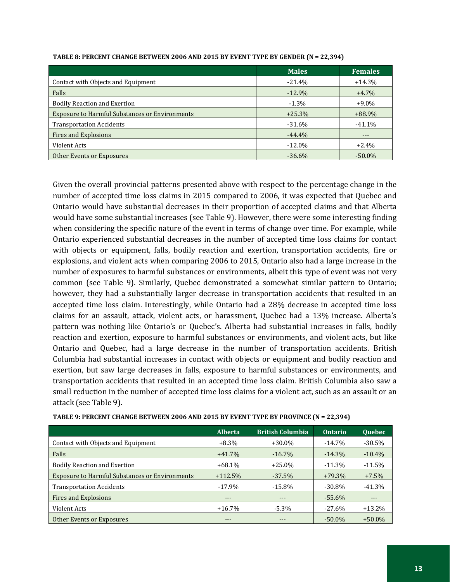|                                                       | <b>Males</b> | <b>Females</b> |
|-------------------------------------------------------|--------------|----------------|
| Contact with Objects and Equipment                    | $-21.4\%$    | $+14.3%$       |
| Falls                                                 | $-12.9%$     | $+4.7%$        |
| <b>Bodily Reaction and Exertion</b>                   | $-1.3\%$     | $+9.0\%$       |
| <b>Exposure to Harmful Substances or Environments</b> | $+25.3%$     | $+88.9%$       |
| <b>Transportation Accidents</b>                       | $-31.6%$     | $-41.1%$       |
| Fires and Explosions                                  | $-44.4%$     |                |
| Violent Acts                                          | $-12.0\%$    | $+2.4%$        |
| Other Events or Exposures                             | $-36.6%$     | $-50.0\%$      |

#### **TABLE 8: PERCENT CHANGE BETWEEN 2006 AND 2015 BY EVENT TYPE BY GENDER (N = 22,394)**

Given the overall provincial patterns presented above with respect to the percentage change in the number of accepted time loss claims in 2015 compared to 2006, it was expected that Quebec and Ontario would have substantial decreases in their proportion of accepted claims and that Alberta would have some substantial increases (see Table 9). However, there were some interesting finding when considering the specific nature of the event in terms of change over time. For example, while Ontario experienced substantial decreases in the number of accepted time loss claims for contact with objects or equipment, falls, bodily reaction and exertion, transportation accidents, fire or explosions, and violent acts when comparing 2006 to 2015, Ontario also had a large increase in the number of exposures to harmful substances or environments, albeit this type of event was not very common (see Table 9). Similarly, Quebec demonstrated a somewhat similar pattern to Ontario; however, they had a substantially larger decrease in transportation accidents that resulted in an accepted time loss claim. Interestingly, while Ontario had a 28% decrease in accepted time loss claims for an assault, attack, violent acts, or harassment, Quebec had a 13% increase. Alberta's pattern was nothing like Ontario's or Quebec's. Alberta had substantial increases in falls, bodily reaction and exertion, exposure to harmful substances or environments, and violent acts, but like Ontario and Quebec, had a large decrease in the number of transportation accidents. British Columbia had substantial increases in contact with objects or equipment and bodily reaction and exertion, but saw large decreases in falls, exposure to harmful substances or environments, and transportation accidents that resulted in an accepted time loss claim. British Columbia also saw a small reduction in the number of accepted time loss claims for a violent act, such as an assault or an attack (see Table 9).

| TABLE 9: PERCENT CHANGE BETWEEN 2006 AND 2015 BY EVENT TYPE BY PROVINCE (N = 22,394) |  |
|--------------------------------------------------------------------------------------|--|
|--------------------------------------------------------------------------------------|--|

|                                                       | <b>Alberta</b> | <b>British Columbia</b> | <b>Ontario</b> | <b>Ouebec</b> |
|-------------------------------------------------------|----------------|-------------------------|----------------|---------------|
| Contact with Objects and Equipment                    | $+8.3\%$       | $+30.0\%$               | $-14.7\%$      | $-30.5%$      |
| Falls                                                 | $+41.7%$       | $-16.7\%$               | $-14.3\%$      | $-10.4%$      |
| <b>Bodily Reaction and Exertion</b>                   | $+68.1\%$      | $+25.0%$                | $-11.3\%$      | $-11.5%$      |
| <b>Exposure to Harmful Substances or Environments</b> | $+112.5%$      | $-37.5%$                | $+79.3%$       | $+7.5%$       |
| <b>Transportation Accidents</b>                       | $-17.9\%$      | $-15.8\%$               | $-30.8\%$      | $-41.3\%$     |
| Fires and Explosions                                  | $- - -$        | $- - -$                 | $-55.6\%$      | $---$         |
| Violent Acts                                          | $+16.7\%$      | $-5.3\%$                | $-27.6\%$      | $+13.2%$      |
| Other Events or Exposures                             |                |                         | $-50.0\%$      | $+50.0\%$     |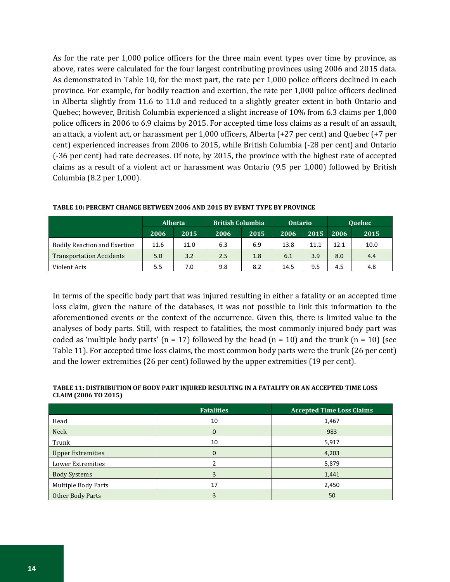As for the rate per 1,000 police officers for the three main event types over time by province, as above, rates were calculated for the four largest contributing provinces using 2006 and 2015 data. As demonstrated in Table 10, for the most part, the rate per 1,000 police officers declined in each province. For example, for bodily reaction and exertion, the rate per 1,000 police officers declined in Alberta slightly from 11.6 to 11.0 and reduced to a slightly greater extent in both Ontario and Quebec; however, British Columbia experienced a slight increase of 10% from 6.3 claims per 1,000 police officers in 2006 to 6.9 claims by 2015. For accepted time loss claims as a result of an assault, an attack, a violent act, or harassment per 1,000 officers, Alberta (+27 per cent) and Quebec (+7 per cent) experienced increases from 2006 to 2015, while British Columbia (-28 per cent) and Ontario (-36 per cent) had rate decreases. Of note, by 2015, the province with the highest rate of accepted claims as a result of a violent act or harassment was Ontario (9.5 per 1,000) followed by British Columbia (8.2 per 1,000).

|                                     | <b>Alberta</b> |      | <b>British Columbia</b> |      | <b>Ontario</b> |      | <b>Ouebec</b> |      |
|-------------------------------------|----------------|------|-------------------------|------|----------------|------|---------------|------|
|                                     | 2006           | 2015 | 2006                    | 2015 | 2006           | 2015 | 2006          | 2015 |
| <b>Bodily Reaction and Exertion</b> | 11.6           | 11.0 | 6.3                     | 6.9  | 13.8           | 11.1 | 12.1          | 10.0 |
| <b>Transportation Accidents</b>     | 5.0            | 3.2  | 2.5                     | 1.8  | 6.1            | 3.9  | 8.0           | 4.4  |
| Violent Acts                        | 5.5            | 7.0  | 9.8                     | 8.2  | 14.5           | 9.5  | 4.5           | 4.8  |

**TABLE 10: PERCENT CHANGE BETWEEN 2006 AND 2015 BY EVENT TYPE BY PROVINCE**

In terms of the specific body part that was injured resulting in either a fatality or an accepted time loss claim, given the nature of the databases, it was not possible to link this information to the aforementioned events or the context of the occurrence. Given this, there is limited value to the analyses of body parts. Still, with respect to fatalities, the most commonly injured body part was coded as 'multiple body parts' (n = 17) followed by the head (n = 10) and the trunk (n = 10) (see Table 11). For accepted time loss claims, the most common body parts were the trunk (26 per cent) and the lower extremities (26 per cent) followed by the upper extremities (19 per cent).

#### **TABLE 11: DISTRIBUTION OF BODY PART INJURED RESULTING IN A FATALITY OR AN ACCEPTED TIME LOSS CLAIM (2006 TO 2015)**

|                          | <b>Accepted Time Loss Claims</b><br><b>Fatalities</b> |       |
|--------------------------|-------------------------------------------------------|-------|
| Head                     | 10                                                    | 1,467 |
| Neck                     |                                                       | 983   |
| Trunk                    | 10                                                    | 5,917 |
| <b>Upper Extremities</b> | 0                                                     | 4,203 |
| <b>Lower Extremities</b> |                                                       | 5,879 |
| <b>Body Systems</b>      |                                                       | 1,441 |
| Multiple Body Parts      | 17                                                    | 2,450 |
| Other Body Parts         |                                                       | 50    |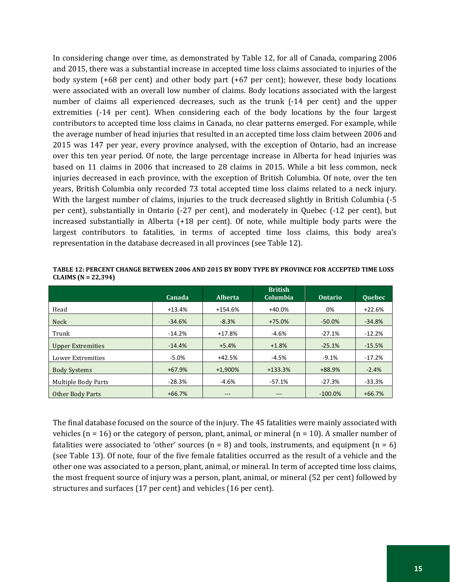In considering change over time, as demonstrated by Table 12, for all of Canada, comparing 2006 and 2015, there was a substantial increase in accepted time loss claims associated to injuries of the body system (+68 per cent) and other body part (+67 per cent); however, these body locations were associated with an overall low number of claims. Body locations associated with the largest number of claims all experienced decreases, such as the trunk (-14 per cent) and the upper extremities (-14 per cent). When considering each of the body locations by the four largest contributors to accepted time loss claims in Canada, no clear patterns emerged. For example, while the average number of head injuries that resulted in an accepted time loss claim between 2006 and 2015 was 147 per year, every province analysed, with the exception of Ontario, had an increase over this ten year period. Of note, the large percentage increase in Alberta for head injuries was based on 11 claims in 2006 that increased to 28 claims in 2015. While a bit less common, neck injuries decreased in each province, with the exception of British Columbia. Of note, over the ten years, British Columbia only recorded 73 total accepted time loss claims related to a neck injury. With the largest number of claims, injuries to the truck decreased slightly in British Columbia (-5 per cent), substantially in Ontario (-27 per cent), and moderately in Quebec (-12 per cent), but increased substantially in Alberta (+18 per cent). Of note, while multiple body parts were the largest contributors to fatalities, in terms of accepted time loss claims, this body area's representation in the database decreased in all provinces (see Table 12).

|                          | Canada   | <b>Alberta</b> | <b>British</b><br>Columbia | <b>Ontario</b> | Quebec   |
|--------------------------|----------|----------------|----------------------------|----------------|----------|
| Head                     | $+13.4%$ | +154.6%        | +40.0%                     | 0%             | $+22.6%$ |
| <b>Neck</b>              | $-34.6%$ | $-8.3%$        | $+75.0%$                   | $-50.0%$       | $-34.8%$ |
| Trunk                    | $-14.2%$ | $+17.8%$       | $-4.6%$                    | $-27.1%$       | $-12.2%$ |
| <b>Upper Extremities</b> | $-14.4%$ | $+5.4%$        | $+1.8%$                    | $-25.1%$       | $-15.5%$ |
| Lower Extremities        | $-5.0%$  | $+42.5%$       | $-4.5%$                    | $-9.1%$        | $-17.2%$ |
| <b>Body Systems</b>      | $+67.9%$ | $+1,900%$      | $+133.3%$                  | +88.9%         | $-2.4%$  |
| Multiple Body Parts      | $-28.3%$ | $-4.6%$        | $-57.1%$                   | $-27.3%$       | $-33.3%$ |
| Other Body Parts         | $+66.7%$ | $- - -$        | ---                        | $-100.0\%$     | $+66.7%$ |

**TABLE 12: PERCENT CHANGE BETWEEN 2006 AND 2015 BY BODY TYPE BY PROVINCE FOR ACCEPTED TIME LOSS CLAIMS (N = 22,394)**

The final database focused on the source of the injury. The 45 fatalities were mainly associated with vehicles ( $n = 16$ ) or the category of person, plant, animal, or mineral ( $n = 10$ ). A smaller number of fatalities were associated to 'other' sources  $(n = 8)$  and tools, instruments, and equipment  $(n = 6)$ (see Table 13). Of note, four of the five female fatalities occurred as the result of a vehicle and the other one was associated to a person, plant, animal, or mineral. In term of accepted time loss claims, the most frequent source of injury was a person, plant, animal, or mineral (52 per cent) followed by structures and surfaces (17 per cent) and vehicles (16 per cent).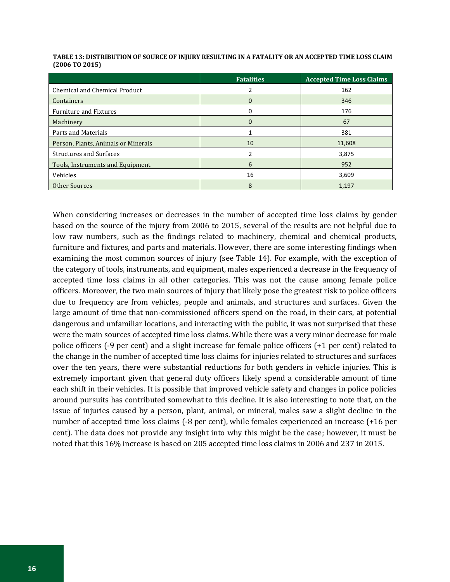|                                     | <b>Fatalities</b> | <b>Accepted Time Loss Claims</b> |
|-------------------------------------|-------------------|----------------------------------|
| Chemical and Chemical Product       |                   | 162                              |
| Containers                          | $\Omega$          | 346                              |
| <b>Furniture and Fixtures</b>       | 0                 | 176                              |
| Machinery                           | $\Omega$          | 67                               |
| Parts and Materials                 |                   | 381                              |
| Person, Plants, Animals or Minerals | 10                | 11,608                           |
| <b>Structures and Surfaces</b>      |                   | 3,875                            |
| Tools, Instruments and Equipment    | 6                 | 952                              |
| Vehicles                            | 16                | 3,609                            |
| Other Sources                       | 8                 | 1,197                            |

| TABLE 13: DISTRIBUTION OF SOURCE OF INJURY RESULTING IN A FATALITY OR AN ACCEPTED TIME LOSS CLAIM |
|---------------------------------------------------------------------------------------------------|
| $(2006 \text{ T}0 2015)$                                                                          |

When considering increases or decreases in the number of accepted time loss claims by gender based on the source of the injury from 2006 to 2015, several of the results are not helpful due to low raw numbers, such as the findings related to machinery, chemical and chemical products, furniture and fixtures, and parts and materials. However, there are some interesting findings when examining the most common sources of injury (see Table 14). For example, with the exception of the category of tools, instruments, and equipment, males experienced a decrease in the frequency of accepted time loss claims in all other categories. This was not the cause among female police officers. Moreover, the two main sources of injury that likely pose the greatest risk to police officers due to frequency are from vehicles, people and animals, and structures and surfaces. Given the large amount of time that non-commissioned officers spend on the road, in their cars, at potential dangerous and unfamiliar locations, and interacting with the public, it was not surprised that these were the main sources of accepted time loss claims. While there was a very minor decrease for male police officers (-9 per cent) and a slight increase for female police officers (+1 per cent) related to the change in the number of accepted time loss claims for injuries related to structures and surfaces over the ten years, there were substantial reductions for both genders in vehicle injuries. This is extremely important given that general duty officers likely spend a considerable amount of time each shift in their vehicles. It is possible that improved vehicle safety and changes in police policies around pursuits has contributed somewhat to this decline. It is also interesting to note that, on the issue of injuries caused by a person, plant, animal, or mineral, males saw a slight decline in the number of accepted time loss claims (-8 per cent), while females experienced an increase (+16 per cent). The data does not provide any insight into why this might be the case; however, it must be noted that this 16% increase is based on 205 accepted time loss claims in 2006 and 237 in 2015.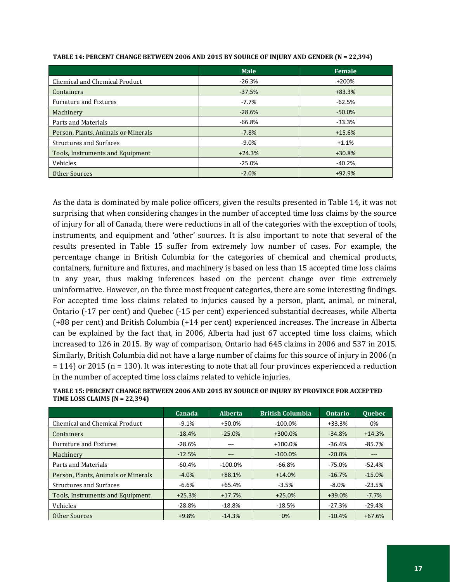|                                     | <b>Male</b> | Female   |
|-------------------------------------|-------------|----------|
| Chemical and Chemical Product       | $-26.3%$    | +200%    |
| Containers                          | $-37.5%$    | $+83.3%$ |
| <b>Furniture and Fixtures</b>       | $-7.7\%$    | $-62.5%$ |
| Machinery                           | $-28.6%$    | $-50.0%$ |
| Parts and Materials                 | $-66.8%$    | $-33.3%$ |
| Person, Plants, Animals or Minerals | $-7.8%$     | $+15.6%$ |
| <b>Structures and Surfaces</b>      | $-9.0\%$    | $+1.1%$  |
| Tools, Instruments and Equipment    | $+24.3%$    | $+30.8%$ |
| Vehicles                            | $-25.0%$    | $-40.2%$ |
| Other Sources                       | $-2.0%$     | $+92.9%$ |

**TABLE 14: PERCENT CHANGE BETWEEN 2006 AND 2015 BY SOURCE OF INJURY AND GENDER (N = 22,394)**

As the data is dominated by male police officers, given the results presented in Table 14, it was not surprising that when considering changes in the number of accepted time loss claims by the source of injury for all of Canada, there were reductions in all of the categories with the exception of tools, instruments, and equipment and 'other' sources. It is also important to note that several of the results presented in Table 15 suffer from extremely low number of cases. For example, the percentage change in British Columbia for the categories of chemical and chemical products, containers, furniture and fixtures, and machinery is based on less than 15 accepted time loss claims in any year, thus making inferences based on the percent change over time extremely uninformative. However, on the three most frequent categories, there are some interesting findings. For accepted time loss claims related to injuries caused by a person, plant, animal, or mineral, Ontario (-17 per cent) and Quebec (-15 per cent) experienced substantial decreases, while Alberta (+88 per cent) and British Columbia (+14 per cent) experienced increases. The increase in Alberta can be explained by the fact that, in 2006, Alberta had just 67 accepted time loss claims, which increased to 126 in 2015. By way of comparison, Ontario had 645 claims in 2006 and 537 in 2015. Similarly, British Columbia did not have a large number of claims for this source of injury in 2006 (n = 114) or 2015 (n = 130). It was interesting to note that all four provinces experienced a reduction in the number of accepted time loss claims related to vehicle injuries.

|                                     | Canada   | <b>Alberta</b> | <b>British Columbia</b> | <b>Ontario</b> | <b>Ouebec</b> |
|-------------------------------------|----------|----------------|-------------------------|----------------|---------------|
| Chemical and Chemical Product       | $-9.1%$  | +50.0%         | $-100.0%$               | $+33.3%$       | 0%            |
| <b>Containers</b>                   | $-18.4%$ | $-25.0%$       | $+300.0%$               | $-34.8%$       | $+14.3%$      |
| <b>Furniture and Fixtures</b>       | $-28.6%$ | $- - -$        | $+100.0\%$              | $-36.4%$       | $-85.7%$      |
| Machinery                           | $-12.5%$ | $---$          | $-100.0\%$              | $-20.0%$       | $---$         |
| Parts and Materials                 | -60.4%   | $-100.0\%$     | $-66.8%$                | $-75.0%$       | $-52.4%$      |
| Person, Plants, Animals or Minerals | $-4.0%$  | $+88.1%$       | $+14.0%$                | $-16.7%$       | $-15.0%$      |
| <b>Structures and Surfaces</b>      | $-6.6%$  | $+65.4%$       | $-3.5%$                 | $-8.0\%$       | $-23.5%$      |
| Tools, Instruments and Equipment    | $+25.3%$ | $+17.7%$       | $+25.0%$                | +39.0%         | $-7.7%$       |
| Vehicles                            | $-28.8%$ | $-18.8%$       | -18.5%                  | $-27.3%$       | $-29.4%$      |
| Other Sources                       | $+9.8%$  | $-14.3%$       | 0%                      | $-10.4%$       | $+67.6%$      |

**TABLE 15: PERCENT CHANGE BETWEEN 2006 AND 2015 BY SOURCE OF INJURY BY PROVINCE FOR ACCEPTED TIME LOSS CLAIMS (N = 22,394)**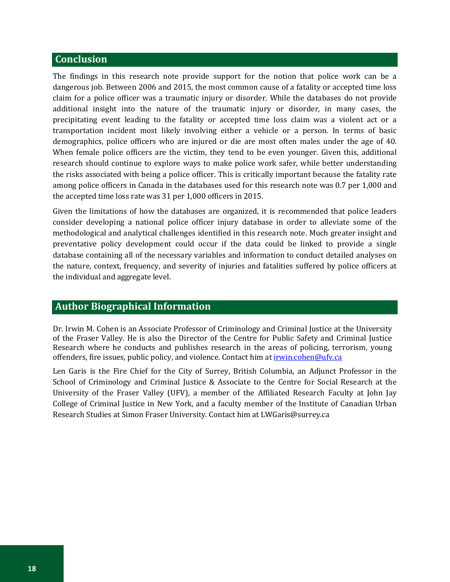## **Conclusion**

The findings in this research note provide support for the notion that police work can be a dangerous job. Between 2006 and 2015, the most common cause of a fatality or accepted time loss claim for a police officer was a traumatic injury or disorder. While the databases do not provide additional insight into the nature of the traumatic injury or disorder, in many cases, the precipitating event leading to the fatality or accepted time loss claim was a violent act or a transportation incident most likely involving either a vehicle or a person. In terms of basic demographics, police officers who are injured or die are most often males under the age of 40. When female police officers are the victim, they tend to be even younger. Given this, additional research should continue to explore ways to make police work safer, while better understanding the risks associated with being a police officer. This is critically important because the fatality rate among police officers in Canada in the databases used for this research note was 0.7 per 1,000 and the accepted time loss rate was 31 per 1,000 officers in 2015.

Given the limitations of how the databases are organized, it is recommended that police leaders consider developing a national police officer injury database in order to alleviate some of the methodological and analytical challenges identified in this research note. Much greater insight and preventative policy development could occur if the data could be linked to provide a single database containing all of the necessary variables and information to conduct detailed analyses on the nature, context, frequency, and severity of injuries and fatalities suffered by police officers at the individual and aggregate level.

## **Author Biographical Information**

Dr. Irwin M. Cohen is an Associate Professor of Criminology and Criminal Justice at the University of the Fraser Valley. He is also the Director of the Centre for Public Safety and Criminal Justice Research where he conducts and publishes research in the areas of policing, terrorism, young offenders, fire issues, public policy, and violence. Contact him at *irwin.cohen@ufv.ca* 

Len Garis is the Fire Chief for the City of Surrey, British Columbia, an Adjunct Professor in the School of Criminology and Criminal Justice & Associate to the Centre for Social Research at the University of the Fraser Valley (UFV), a member of the Affiliated Research Faculty at John Jay College of Criminal Justice in New York, and a faculty member of the Institute of Canadian Urban Research Studies at Simon Fraser University. Contact him at [LWGaris@surrey.ca](mailto:LWGaris@surrey.ca)